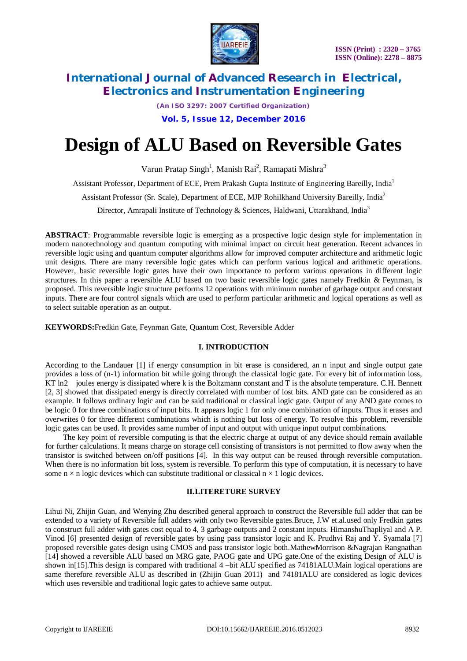

*(An ISO 3297: 2007 Certified Organization)*

**Vol. 5, Issue 12, December 2016**

# **Design of ALU Based on Reversible Gates**

Varun Pratap Singh<sup>1</sup>, Manish Rai<sup>2</sup>, Ramapati Mishra<sup>3</sup>

Assistant Professor, Department of ECE, Prem Prakash Gupta Institute of Engineering Bareilly, India<sup>1</sup>

Assistant Professor (Sr. Scale), Department of ECE, MJP Rohilkhand University Bareilly, India<sup>2</sup>

Director, Amrapali Institute of Technology & Sciences, Haldwani, Uttarakhand, India<sup>3</sup>

**ABSTRACT**: Programmable reversible logic is emerging as a prospective logic design style for implementation in modern nanotechnology and quantum computing with minimal impact on circuit heat generation. Recent advances in reversible logic using and quantum computer algorithms allow for improved computer architecture and arithmetic logic unit designs. There are many reversible logic gates which can perform various logical and arithmetic operations. However, basic reversible logic gates have their own importance to perform various operations in different logic structures. In this paper a reversible ALU based on two basic reversible logic gates namely Fredkin & Feynman, is proposed. This reversible logic structure performs 12 operations with minimum number of garbage output and constant inputs. There are four control signals which are used to perform particular arithmetic and logical operations as well as to select suitable operation as an output.

**KEYWORDS:**Fredkin Gate, Feynman Gate, Quantum Cost, Reversible Adder

#### **I. INTRODUCTION**

According to the Landauer [1] if energy consumption in bit erase is considered, an n input and single output gate provides a loss of (n-1) information bit while going through the classical logic gate. For every bit of information loss, KT ln2 joules energy is dissipated where k is the Boltzmann constant and T is the absolute temperature. C.H. Bennett [2, 3] showed that dissipated energy is directly correlated with number of lost bits. AND gate can be considered as an example. It follows ordinary logic and can be said traditional or classical logic gate. Output of any AND gate comes to be logic 0 for three combinations of input bits. It appears logic 1 for only one combination of inputs. Thus it erases and overwrites 0 for three different combinations which is nothing but loss of energy. To resolve this problem, reversible logic gates can be used. It provides same number of input and output with unique input output combinations.

The key point of reversible computing is that the electric charge at output of any device should remain available for further calculations. It means charge on storage cell consisting of transistors is not permitted to flow away when the transistor is switched between on/off positions [4]. In this way output can be reused through reversible computation. When there is no information bit loss, system is reversible. To perform this type of computation, it is necessary to have some  $n \times n$  logic devices which can substitute traditional or classical  $n \times 1$  logic devices.

#### **II.LITERETURE SURVEY**

Lihui Ni, Zhijin Guan, and Wenying Zhu described general approach to construct the Reversible full adder that can be extended to a variety of Reversible full adders with only two Reversible gates.Bruce, J.W et.al.used only Fredkin gates to construct full adder with gates cost equal to 4, 3 garbage outputs and 2 constant inputs. HimanshuThapliyal and A P. Vinod [6] presented design of reversible gates by using pass transistor logic and K. Prudhvi Raj and Y. Syamala [7] proposed reversible gates design using CMOS and pass transistor logic both.MathewMorrison &Nagrajan Rangnathan [14] showed a reversible ALU based on MRG gate, PAOG gate and UPG gate.One of the existing Design of ALU is shown in [15]. This design is compared with traditional 4 –bit ALU specified as 74181ALU. Main logical operations are same therefore reversible ALU as described in (Zhijin Guan 2011) and 74181ALU are considered as logic devices which uses reversible and traditional logic gates to achieve same output.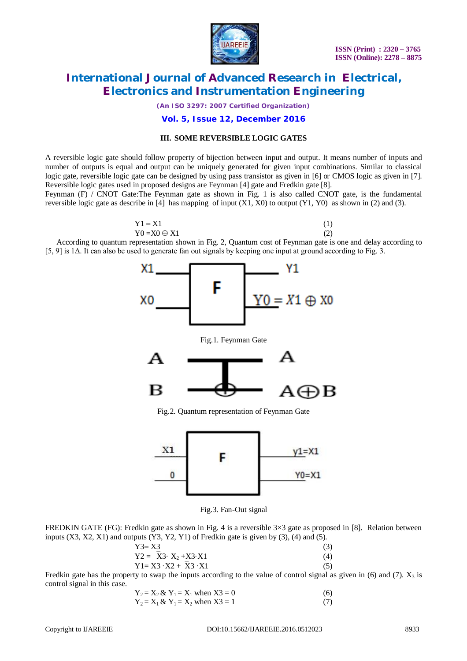

*(An ISO 3297: 2007 Certified Organization)*

#### **Vol. 5, Issue 12, December 2016**

#### **III. SOME REVERSIBLE LOGIC GATES**

A reversible logic gate should follow property of bijection between input and output. It means number of inputs and number of outputs is equal and output can be uniquely generated for given input combinations. Similar to classical logic gate, reversible logic gate can be designed by using pass transistor as given in [6] or CMOS logic as given in [7]. Reversible logic gates used in proposed designs are Feynman [4] gate and Fredkin gate [8].

Feynman (F) / CNOT Gate:The Feynman gate as shown in Fig. 1 is also called CNOT gate, is the fundamental reversible logic gate as describe in [4] has mapping of input  $(X1, X0)$  to output  $(Y1, Y0)$  as shown in (2) and (3).

$$
Y1 = X1
$$
  
\n
$$
Y0 = X0 \oplus X1
$$
  
\n(1)  
\n(2)

According to quantum representation shown in Fig. 2, Quantum cost of Feynman gate is one and delay according to [5, 9] is 1Δ. It can also be used to generate fan out signals by keeping one input at ground according to Fig. 3.

> F ХO Y0 = *X* 1 ⊕ x 0

Fig.1. Feynman Gate



Fig.2. Quantum representation of Feynman Gate



Fig.3. Fan-Out signal

FREDKIN GATE (FG): Fredkin gate as shown in Fig. 4 is a reversible  $3\times3$  gate as proposed in [8]. Relation between inputs  $(X3, X2, X1)$  and outputs  $(Y3, Y2, Y1)$  of Fredkin gate is given by  $(3)$ ,  $(4)$  and  $(5)$ .

$$
Y3 = X3 \tag{3}
$$

$$
Y2 = \overline{X}3 \cdot X_2 + X3 \cdot X1
$$
  
\n
$$
Y1 = X3 \cdot X2 + \overline{X}3 \cdot X1
$$
  
\n(4)

Fredkin gate has the property to swap the inputs according to the value of control signal as given in (6) and (7).  $X_3$  is control signal in this case.

$$
Y_2 = X_2 & Y_1 = X_1 \text{ when } X3 = 0
$$
\n
$$
Y_2 = X_1 & Y_1 = X_2 \text{ when } X3 = 1
$$
\n
$$
(6)
$$
\n
$$
(7)
$$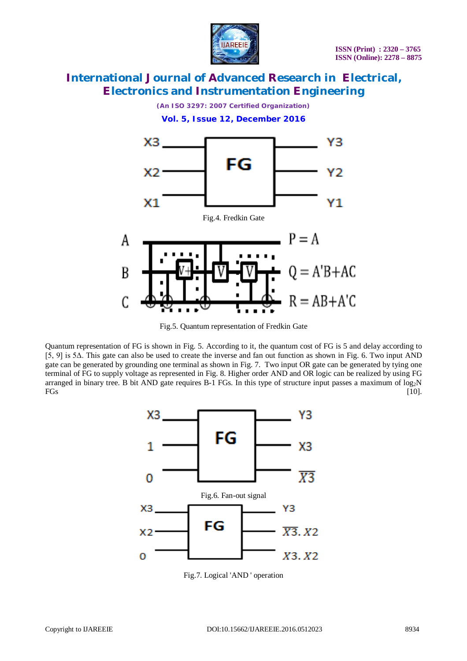

*(An ISO 3297: 2007 Certified Organization)*



Fig.5. Quantum representation of Fredkin Gate

Quantum representation of FG is shown in Fig. 5. According to it, the quantum cost of FG is 5 and delay according to [5, 9] is 5Δ. This gate can also be used to create the inverse and fan out function as shown in Fig. 6. Two input AND gate can be generated by grounding one terminal as shown in Fig. 7. Two input OR gate can be generated by tying one terminal of FG to supply voltage as represented in Fig. 8. Higher order AND and OR logic can be realized by using FG arranged in binary tree. B bit AND gate requires B-1 FGs. In this type of structure input passes a maximum of  $log_2N$ <br>FGs  $FGs$  [10].



Fig.7. Logical 'AND ' operation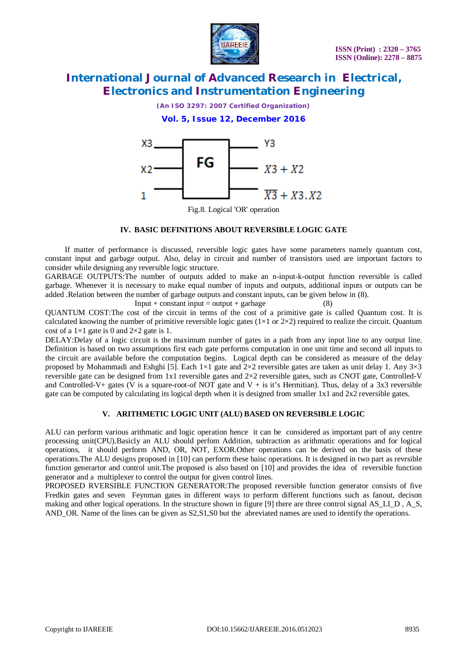

*(An ISO 3297: 2007 Certified Organization)*

### **Vol. 5, Issue 12, December 2016**



Fig.8. Logical 'OR' operation

#### **IV. BASIC DEFINITIONS ABOUT REVERSIBLE LOGIC GATE**

If matter of performance is discussed, reversible logic gates have some parameters namely quantum cost, constant input and garbage output. Also, delay in circuit and number of transistors used are important factors to consider while designing any reversible logic structure.

GARBAGE OUTPUTS:The number of outputs added to make an n-input-k-output function reversible is called garbage. Whenever it is necessary to make equal number of inputs and outputs, additional inputs or outputs can be added .Relation between the number of garbage outputs and constant inputs, can be given below in (8).

Input + constant input = output + garbage

QUANTUM COST:The cost of the circuit in terms of the cost of a primitive gate is called Quantum cost. It is calculated knowing the number of primitive reversible logic gates ( $1\times1$  or  $2\times2$ ) required to realize the circuit. Quantum cost of a  $1\times1$  gate is 0 and  $2\times2$  gate is 1.

DELAY:Delay of a logic circuit is the maximum number of gates in a path from any input line to any output line. Definition is based on two assumptions first each gate performs computation in one unit time and second all inputs to the circuit are available before the computation begins. Logical depth can be considered as measure of the delay proposed by Mohammadi and Eshghi [5]. Each  $1 \times 1$  gate and  $2 \times 2$  reversible gates are taken as unit delay 1. Any  $3 \times 3$ reversible gate can be designed from 1x1 reversible gates and 2×2 reversible gates, such as CNOT gate, Controlled-V and Controlled-V+ gates (V is a square-root-of NOT gate and V + is it's Hermitian). Thus, delay of a 3x3 reversible gate can be computed by calculating its logical depth when it is designed from smaller  $1x1$  and  $2x2$  reversible gates.

#### **V. ARITHMETIC LOGIC UNIT (ALU) BASED ON REVERSIBLE LOGIC**

ALU can perform various arithmatic and logic operation hence it can be considered as important part of any centre processing unit(CPU).Basicly an ALU should perfom Addition, subtraction as arithmatic operations and for logical operations, it should perform AND, OR, NOT, EXOR.Other operations can be derived on the basis of these operations.The ALU designs proposed in [10] can perform these baisc operations. It is designed in two part as revrsible function generartor and control unit.The proposed is also based on [10] and provides the idea of reversible function generator and a multiplexer to control the output for given control lines.

PROPOSED RVERSIBLE FUNCTION GENERATOR:The proposed reversible function generator consists of five Fredkin gates and seven Feynman gates in different ways to perform different functions such as fanout, decison making and other logical operations. In the structure shown in figure [9] there are three control signal AS\_LI\_D, A\_S, AND OR. Name of the lines can be given as S2,S1,S0 but the abreviated names are used to identify the operations.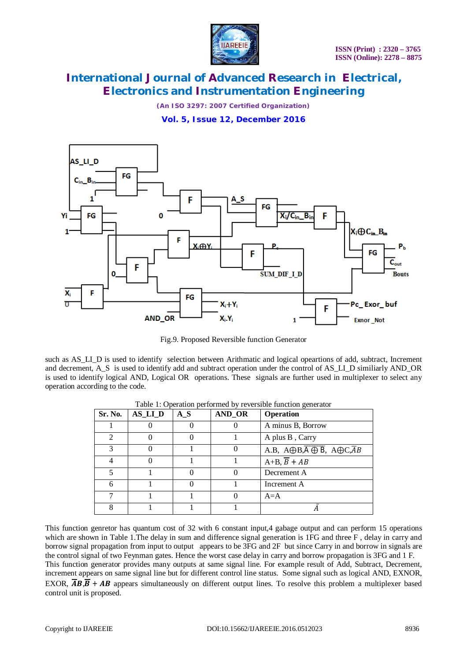

*(An ISO 3297: 2007 Certified Organization)*

**Vol. 5, Issue 12, December 2016**



Fig.9. Proposed Reversible function Generator

such as AS\_LI\_D is used to identify selection between Arithmatic and logical opeartions of add, subtract, Increment and decrement, A\_S is used to identify add and subtract operation under the control of AS\_LI\_D similiarly AND\_OR is used to identify logical AND, Logical OR operations. These signals are further used in multiplexer to select any operation according to the code.

| Sr. No.       | <b>AS_LI_D</b> | $A_S$ | AND_OR | <b>Operation</b>                                                       |
|---------------|----------------|-------|--------|------------------------------------------------------------------------|
|               |                |       |        | A minus B, Borrow                                                      |
| $\mathcal{D}$ |                |       |        | A plus B, Carry                                                        |
| 3             |                |       |        | A.B, $A \oplus B, \overline{A \oplus B}$ , $A \oplus C, \overline{A}B$ |
|               |                |       |        | $A+B, \overline{B}+AB$                                                 |
| 5             |                |       |        | Decrement A                                                            |
| 6             |                |       |        | Increment A                                                            |
|               |                |       |        | $A = A$                                                                |
| 8             |                |       |        |                                                                        |

Table 1: Operation performed by reversible function generator

This function genretor has quantum cost of 32 with 6 constant input,4 gabage output and can perform 15 operations which are shown in Table 1. The delay in sum and difference signal generation is 1FG and three F, delay in carry and borrow signal propagation from input to output appears to be 3FG and 2F but since Carry in and borrow in signals are the control signal of two Feynman gates. Hence the worst case delay in carry and borrow propagation is 3FG and 1 F. This function generator provides many outputs at same signal line. For example result of Add, Subtract, Decrement, increment appears on same signal line but for different control line status. Some signal such as logical AND, EXNOR, EXOR,  $\overline{AB}$ ,  $\overline{B}$  +  $\overline{AB}$  appears simultaneously on different output lines. To resolve this problem a multiplexer based control unit is proposed.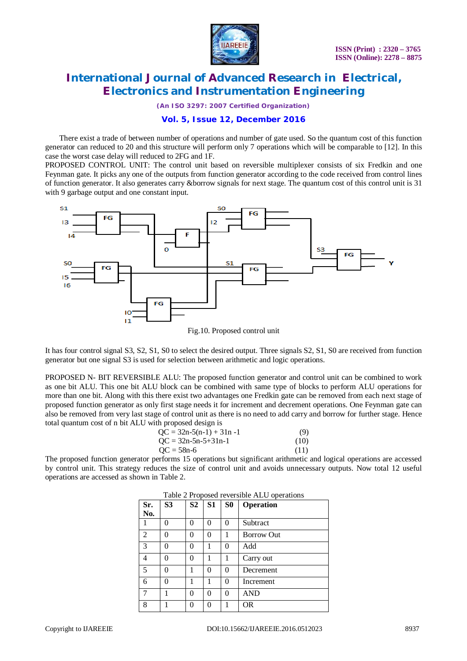

*(An ISO 3297: 2007 Certified Organization)*

### **Vol. 5, Issue 12, December 2016**

There exist a trade of between number of operations and number of gate used. So the quantum cost of this function generator can reduced to 20 and this structure will perform only 7 operations which will be comparable to [12]. In this case the worst case delay will reduced to 2FG and 1F.

PROPOSED CONTROL UNIT: The control unit based on reversible multiplexer consists of six Fredkin and one Feynman gate. It picks any one of the outputs from function generator according to the code received from control lines of function generator. It also generates carry &borrow signals for next stage. The quantum cost of this control unit is 31 with 9 garbage output and one constant input.



Fig.10. Proposed control unit

It has four control signal S3, S2, S1, S0 to select the desired output. Three signals S2, S1, S0 are received from function generator but one signal S3 is used for selection between arithmetic and logic operations.

PROPOSED N- BIT REVERSIBLE ALU: The proposed function generator and control unit can be combined to work as one bit ALU. This one bit ALU block can be combined with same type of blocks to perform ALU operations for more than one bit. Along with this there exist two advantages one Fredkin gate can be removed from each next stage of proposed function generator as only first stage needs it for increment and decrement operations. One Feynman gate can also be removed from very last stage of control unit as there is no need to add carry and borrow for further stage. Hence total quantum cost of n bit ALU with proposed design is

| $OC = 32n-5(n-1) + 31n -1$ | (9)  |
|----------------------------|------|
| $OC = 32n-5n-5+31n-1$      | (10) |
| $OC = 58n-6$               | (11) |

The proposed function generator performs 15 operations but significant arithmetic and logical operations are accessed by control unit. This strategy reduces the size of control unit and avoids unnecessary outputs. Now total 12 useful operations are accessed as shown in Table 2.

| Sr.            | S <sub>3</sub> | S <sub>2</sub> | S1       | S <sub>0</sub> | <b>Operation</b>  |
|----------------|----------------|----------------|----------|----------------|-------------------|
| No.            |                |                |          |                |                   |
| 1              | 0              | 0              | $\theta$ | $\theta$       | Subtract          |
| $\overline{2}$ | 0              | 0              | $\theta$ | 1              | <b>Borrow Out</b> |
| 3              | 0              | 0              |          | $\theta$       | Add               |
| 4              | 0              | 0              | 1        | 1              | Carry out         |
| 5              | 0              |                | $\theta$ | $\Omega$       | Decrement         |
| 6              | 0              |                | 1        | $\Omega$       | Increment         |
|                |                | 0              | $\Omega$ | $\Omega$       | AND               |
| 8              |                |                | 0        |                | OR                |

|  | Table 2 Proposed reversible ALU operations |  |
|--|--------------------------------------------|--|
|  |                                            |  |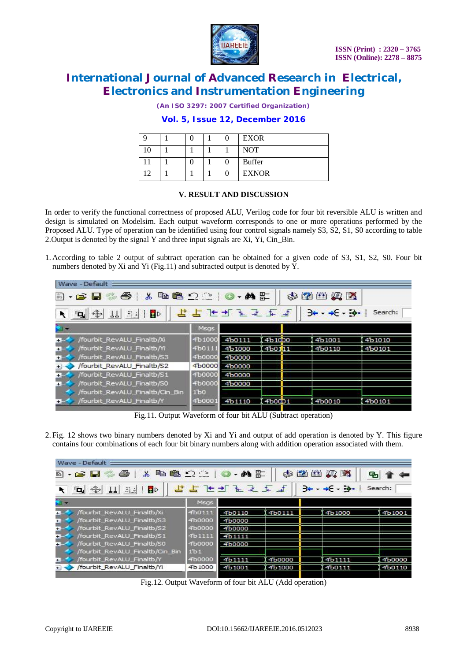

*(An ISO 3297: 2007 Certified Organization)*

### **Vol. 5, Issue 12, December 2016**

|   |  |  | <b>EXOR</b>   |
|---|--|--|---------------|
| 0 |  |  | <b>NOT</b>    |
|   |  |  | <b>Buffer</b> |
|   |  |  | <b>EXNOR</b>  |

#### **V. RESULT AND DISCUSSION**

In order to verify the functional correctness of proposed ALU, Verilog code for four bit reversible ALU is written and design is simulated on Modelsim. Each output waveform corresponds to one or more operations performed by the Proposed ALU. Type of operation can be identified using four control signals namely S3, S2, S1, S0 according to table 2.Output is denoted by the signal Y and three input signals are Xi, Yi, Cin\_Bin.

1. According to table 2 output of subtract operation can be obtained for a given code of S3, S1, S2, S0. Four bit numbers denoted by Xi and Yi (Fig.11) and subtracted output is denoted by Y.

| Wave - Default :                                                                                          |                 |        |                     |  |        |        |  |
|-----------------------------------------------------------------------------------------------------------|-----------------|--------|---------------------|--|--------|--------|--|
| B-6845 X BB 2210-AF                                                                                       |                 |        |                     |  | 多磨出具的  |        |  |
| 5557 5 7 7 7 7<br>$3 + - +5 - 3 -$<br>$\frac{1}{2}$ 11 3. BD<br>Search:<br>$\overline{a}$<br>$\mathbf{A}$ |                 |        |                     |  |        |        |  |
|                                                                                                           | Msgs            |        |                     |  |        |        |  |
| /fourbit RevALU Finaltb/Xi<br>$+55$                                                                       | 4b1000          | 4b0111 | 4b <sub>10</sub> p0 |  | 4b1001 | 4b1010 |  |
| /fourbit_RevALU_Finaltb/Yi<br>$+ -$                                                                       | 4b0111          | 4b1000 | 4b0111              |  | 4b0110 | 4b0101 |  |
| /fourbit RevALU Finaltb/S3<br>$+ =$                                                                       | 4b0000          | 4b0000 |                     |  |        |        |  |
| /fourbit RevALU Finaltb/S2<br>$+1$                                                                        | 4b0000          | 4b0000 |                     |  |        |        |  |
| /fourbit_RevALU_Finaltb/S1<br>$+ =$                                                                       | 4b0000          | 4b0000 |                     |  |        |        |  |
| fourbit RevALU Finaltb/S0<br>大学                                                                           | 4b0000          | 4b0000 |                     |  |        |        |  |
| /fourbit RevALU Finaltb/Cin Bin                                                                           | 1 <sub>b0</sub> |        |                     |  |        |        |  |
| /fourbit RevALU Finaltb/Y<br>$+5$                                                                         | 4b0001          | 4b1110 | 4b0CD1              |  | 4b0010 | 4b0101 |  |

Fig.11. Output Waveform of four bit ALU (Subtract operation)

2. Fig. 12 shows two binary numbers denoted by Xi and Yi and output of add operation is denoted by Y. This figure contains four combinations of each four bit binary numbers along with addition operation associated with them.

| Wave - Default =                                         |                  |          |        |                     |         |
|----------------------------------------------------------|------------------|----------|--------|---------------------|---------|
| e<br>$\delta$<br>B - 2 H                                 | <b>电电 2 3 0</b>  | - 叠 計    |        | 多磨出人民               |         |
| $\frac{1}{2}$ 11 3.1<br>$\mathbf{B}^{\mathcal{D}}$<br>ъ. |                  | 医足压孔牙舌下孔 |        | $-4$<br>$+5$ - $-5$ | Search: |
|                                                          | Msgs             |          |        |                     |         |
| /fourbit_RevALU_Finaltb/Xi<br>$+1$                       | 4b0111           | 4b0110   | 4b0111 | 4b1000              | 4b1001  |
| /fourbit RevALU Finaltb/S3<br>$+1-$                      | 4b0000           | 4b0000   |        |                     |         |
| /fourbit_RevALU_Finaltb/S2<br>$+1$                       | 4b0000           | 4b0000   |        |                     |         |
| /fourbit RevALU Finaltb/S1<br>$+1-$                      | 4b1111           | 4b1111   |        |                     |         |
| /fourbit RevALU Finaltb/S0<br>$+ -$                      | 4b0000           | 4b0000   |        |                     |         |
| fourbit_RevALU_Finaltb/Cin_Bin                           | 1 <sup>b</sup> 1 |          |        |                     |         |
| fourbit RevALU Finaltb/Y<br>÷.                           | 4b0000           | 4b1111   | 4b0000 | 4b <sub>1111</sub>  | 4b0000  |
| /fourbit_RevALU_Finaltb/Yi                               | 4b1000           | 4b1001   | 4b1000 | 4b0111              | 4b0110  |
|                                                          |                  |          |        |                     |         |

Fig.12. Output Waveform of four bit ALU (Add operation)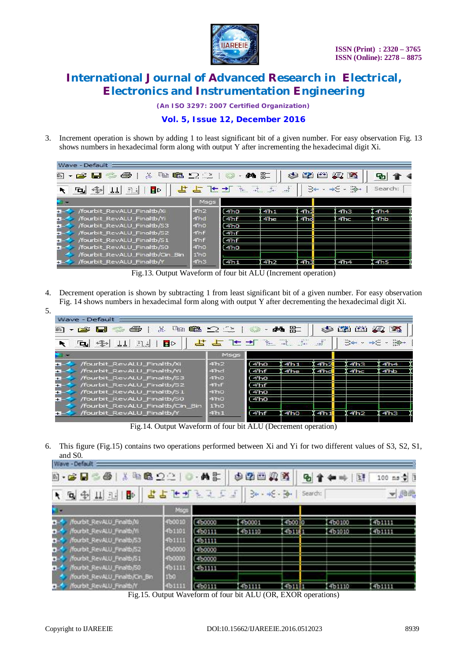

*(An ISO 3297: 2007 Certified Organization)*

### **Vol. 5, Issue 12, December 2016**

3. Increment operation is shown by adding 1 to least significant bit of a given number. For easy observation Fig. 13 shows numbers in hexadecimal form along with output Y after incrementing the hexadecimal digit Xi.

| Wave - Default                                                                                                                                                                                                                                                                                                                                                                                                                                                                |                  |                     |             |                           |                                                                                                                                                                                                                                                                                                                                                                                                                |                 |
|-------------------------------------------------------------------------------------------------------------------------------------------------------------------------------------------------------------------------------------------------------------------------------------------------------------------------------------------------------------------------------------------------------------------------------------------------------------------------------|------------------|---------------------|-------------|---------------------------|----------------------------------------------------------------------------------------------------------------------------------------------------------------------------------------------------------------------------------------------------------------------------------------------------------------------------------------------------------------------------------------------------------------|-----------------|
| X.<br>$\begin{picture}(20,20) \put(0,0){\line(1,0){10}} \put(15,0){\line(1,0){10}} \put(15,0){\line(1,0){10}} \put(15,0){\line(1,0){10}} \put(15,0){\line(1,0){10}} \put(15,0){\line(1,0){10}} \put(15,0){\line(1,0){10}} \put(15,0){\line(1,0){10}} \put(15,0){\line(1,0){10}} \put(15,0){\line(1,0){10}} \put(15,0){\line(1,0){10}} \put(15,0){\line(1$<br>€<br>5) - C2 H                                                                                                   |                  | 44                  | 馿           | 圖<br>临湖                   | 2 2                                                                                                                                                                                                                                                                                                                                                                                                            |                 |
| $\mathbb{R}$ :<br>$\mathbf{B}^{\mathcal{D}}$<br>$\frac{1}{2} \sum_{i=1}^{N} \frac{1}{\left \sum_{i=1}^{N} \frac{1}{\left \sum_{i=1}^{N} \frac{1}{\left \sum_{i=1}^{N} \frac{1}{\left \sum_{i=1}^{N} \frac{1}{\left \sum_{i=1}^{N} \frac{1}{\left \sum_{i=1}^{N} \frac{1}{\left \sum_{i=1}^{N} \frac{1}{\left \sum_{i=1}^{N} \frac{1}{\left \sum_{i=1}^{N} \frac{1}{\left \sum_{i=1}^{N} \frac{1}{\left \sum_{i=1}^{N} \frac{1}{\left \sum_{i=1}^{N$<br>TT <sub>I</sub><br>'Qr |                  |                     | <b>LIFS</b> | $\sum_{i=1}^n a_{i}a_{i}$ | $\frac{1}{\sqrt{2}}\frac{1}{\sqrt{2}}\frac{1}{\sqrt{2}}\frac{1}{\sqrt{2}}\frac{1}{\sqrt{2}}\frac{1}{\sqrt{2}}\frac{1}{\sqrt{2}}\frac{1}{\sqrt{2}}\frac{1}{\sqrt{2}}\frac{1}{\sqrt{2}}\frac{1}{\sqrt{2}}\frac{1}{\sqrt{2}}\frac{1}{\sqrt{2}}\frac{1}{\sqrt{2}}\frac{1}{\sqrt{2}}\frac{1}{\sqrt{2}}\frac{1}{\sqrt{2}}\frac{1}{\sqrt{2}}\frac{1}{\sqrt{2}}\frac{1}{\sqrt{2}}\frac{1}{\sqrt{2}}\frac{1}{\sqrt{2}}$ | Search:         |
|                                                                                                                                                                                                                                                                                                                                                                                                                                                                               | Msgs             |                     |             |                           |                                                                                                                                                                                                                                                                                                                                                                                                                |                 |
| fourbit RevALU Finaltb/Xi<br>$\mathbf{H}$                                                                                                                                                                                                                                                                                                                                                                                                                                     | 4h2              | (4 <sub>h0</sub> )  | 4h1         | 4h2                       | 4 <sub>h3</sub>                                                                                                                                                                                                                                                                                                                                                                                                | 4h4             |
| /fourbit RevALU Finaltb/Yi<br>$+ =$                                                                                                                                                                                                                                                                                                                                                                                                                                           | 4 <sup>hd</sup>  | $(4th$ f            | 4he         | 4hd                       | 4hc                                                                                                                                                                                                                                                                                                                                                                                                            | 4hb             |
| fourbit RevALU Finaltb/S3<br>$+1$                                                                                                                                                                                                                                                                                                                                                                                                                                             | 4 <sub>h0</sub>  | (4h0)               |             |                           |                                                                                                                                                                                                                                                                                                                                                                                                                |                 |
| fourbit RevALU Finaltb/S2<br>÷.                                                                                                                                                                                                                                                                                                                                                                                                                                               | $4n$ f           | $4h$ f              |             |                           |                                                                                                                                                                                                                                                                                                                                                                                                                |                 |
| /fourbit RevALU Finaltb/S1<br>÷.                                                                                                                                                                                                                                                                                                                                                                                                                                              | 4 <sup>n</sup>   | (4 <sup>th</sup> f) |             |                           |                                                                                                                                                                                                                                                                                                                                                                                                                |                 |
| /fourbit_RevALU_Finaltb/S0<br>٠.                                                                                                                                                                                                                                                                                                                                                                                                                                              | 4 <sub>h0</sub>  | (4 <sub>h0</sub> )  |             |                           |                                                                                                                                                                                                                                                                                                                                                                                                                |                 |
| fourbit RevALU Finaltb/Cin Bin                                                                                                                                                                                                                                                                                                                                                                                                                                                | 1 <sup>h</sup> 0 |                     |             |                           |                                                                                                                                                                                                                                                                                                                                                                                                                |                 |
| /fourbit RevALU Finaltb/Y<br>$\mathbf{H}$                                                                                                                                                                                                                                                                                                                                                                                                                                     | 4h3              | 4 <sup>th1</sup>    | 4h2         | 4h3                       | 4h4                                                                                                                                                                                                                                                                                                                                                                                                            | 4h <sub>5</sub> |

Fig.13. Output Waveform of four bit ALU (Increment operation)

- 4. Decrement operation is shown by subtracting 1 from least significant bit of a given number. For easy observation Fig. 14 shows numbers in hexadecimal form along with output Y after decrementing the hexadecimal digit Xi.
- 5. **CONTRACTOR**

| - GD   X<br>5) - C2 LH                                                                                                                                                                                                                                                                                                                                                                                                                                                                                     | $\begin{array}{c} \mathbb{Q} \mathbb{Q} \mathbb{Q} \mathbb{Q} \mathbb{Q} \mathbb{Q} \mathbb{Q} \mathbb{Q} \mathbb{Q} \mathbb{Q} \mathbb{Q} \mathbb{Q} \mathbb{Q} \mathbb{Q} \mathbb{Q} \mathbb{Q} \mathbb{Q} \mathbb{Q} \mathbb{Q} \mathbb{Q} \mathbb{Q} \mathbb{Q} \mathbb{Q} \mathbb{Q} \mathbb{Q} \mathbb{Q} \mathbb{Q} \mathbb{Q} \mathbb{Q} \mathbb{Q} \mathbb{Q} \mathbb{Q} \mathbb{Q} \mathbb{Q} \mathbb{Q} \mathbb$ |                 | $-44E$          |                 | <b>EACH 22 EAC</b> |                 |  |  |
|------------------------------------------------------------------------------------------------------------------------------------------------------------------------------------------------------------------------------------------------------------------------------------------------------------------------------------------------------------------------------------------------------------------------------------------------------------------------------------------------------------|-----------------------------------------------------------------------------------------------------------------------------------------------------------------------------------------------------------------------------------------------------------------------------------------------------------------------------------------------------------------------------------------------------------------------------|-----------------|-----------------|-----------------|--------------------|-----------------|--|--|
| ┗ ┓ ゙゙゙゙゙゙゙゙゙゙゠゠゙゠゙<br>$\frac{1}{\sqrt{2}}\int_{\mathbb{R}^{2}}\left\langle \psi\right\rangle _{0}^{2}=\frac{1}{\sqrt{2}}\int_{\mathbb{R}^{2}}\left\langle \psi\right\rangle _{0}^{2}=\frac{1}{\sqrt{2}}\int_{\mathbb{R}^{2}}\left\langle \psi\right\rangle _{0}^{2}=\frac{1}{\sqrt{2}}\int_{\mathbb{R}^{2}}\left\langle \psi\right\rangle _{0}^{2}=\frac{1}{\sqrt{2}}\int_{\mathbb{R}^{2}}\left\langle \psi\right\rangle _{0}^{2}=\frac{1}{\sqrt{2}}\int_{\mathbb{R}^{2}}\left\$<br><b>B</b> <sub>D</sub> |                                                                                                                                                                                                                                                                                                                                                                                                                             |                 |                 |                 |                    |                 |  |  |
|                                                                                                                                                                                                                                                                                                                                                                                                                                                                                                            | Msgs                                                                                                                                                                                                                                                                                                                                                                                                                        |                 |                 |                 |                    |                 |  |  |
| /fourbit RevALU Finaltb/Xi<br>$+$                                                                                                                                                                                                                                                                                                                                                                                                                                                                          | 4 <sup>h</sup> 2                                                                                                                                                                                                                                                                                                                                                                                                            | (4h0            | 4h1             | 4h2             | 4h3                | 4 <sub>h4</sub> |  |  |
| /fourbit_RevALU_Finaltb/Yi_<br>$+$                                                                                                                                                                                                                                                                                                                                                                                                                                                                         | 4hd                                                                                                                                                                                                                                                                                                                                                                                                                         | 4hf             | 4he             | 4hd             | 4hc                | 4hb             |  |  |
| /fourbit_RevALU_Finaltb/S3<br>$+1$                                                                                                                                                                                                                                                                                                                                                                                                                                                                         | 4 <sub>h0</sub>                                                                                                                                                                                                                                                                                                                                                                                                             | 4 <sub>h0</sub> |                 |                 |                    |                 |  |  |
| /fourbit RevALU Finaltb/S2<br><b>+</b>                                                                                                                                                                                                                                                                                                                                                                                                                                                                     | $4th$ f                                                                                                                                                                                                                                                                                                                                                                                                                     | 4 <sup>n</sup>  |                 |                 |                    |                 |  |  |
| /fourbit RevALU Finaltb/S1<br>$\pm$                                                                                                                                                                                                                                                                                                                                                                                                                                                                        | 4 <sub>h0</sub>                                                                                                                                                                                                                                                                                                                                                                                                             | 4 <sub>h0</sub> |                 |                 |                    |                 |  |  |
| /fourbit RevALU Finaltb/S0<br>$+1$                                                                                                                                                                                                                                                                                                                                                                                                                                                                         | 4 <sub>h0</sub>                                                                                                                                                                                                                                                                                                                                                                                                             | (4h0            |                 |                 |                    |                 |  |  |
| /fourbit_RevALU_Finaltb/Cin_Bin                                                                                                                                                                                                                                                                                                                                                                                                                                                                            | 1 <sup>h</sup> 0                                                                                                                                                                                                                                                                                                                                                                                                            |                 |                 |                 |                    |                 |  |  |
| /fourbit RevALU Finaltb/Y<br>$+1$                                                                                                                                                                                                                                                                                                                                                                                                                                                                          | 4h1                                                                                                                                                                                                                                                                                                                                                                                                                         | (4hf            | 4 <sub>h0</sub> | 4 <sup>th</sup> | 4 <sub>h2</sub>    | 4h3             |  |  |
|                                                                                                                                                                                                                                                                                                                                                                                                                                                                                                            |                                                                                                                                                                                                                                                                                                                                                                                                                             |                 |                 |                 |                    |                 |  |  |

Fig.14. Output Waveform of four bit ALU (Decrement operation)

6. This figure (Fig.15) contains two operations performed between Xi and Yi for two different values of S3, S2, S1, and S0.

| Wave - Default                         |        |             |        |              |         |        |                          |
|----------------------------------------|--------|-------------|--------|--------------|---------|--------|--------------------------|
| x.<br>$   -$                           | 中島の立   | 的歌          | 中国四月五  |              |         |        | $100$ ns $\frac{4}{9}$ 1 |
| 向争其王<br>HD.                            | などしみよう |             |        | $+6 - 3$     | Search: |        | ▼過過                      |
|                                        | Msgs   |             |        |              |         |        |                          |
| /fourbit_RevALU_Finaltb/0              | 400010 | (460000)    | 460001 | 460070       |         | 450100 | <b>COULD</b>             |
| /fourbit_RevALU_Finaltb/n.             | 4b1101 | <b>COUR</b> | 451110 | <b>SIDTE</b> |         | 461010 | <b>CITIES</b>            |
| /fourbit_RevALU_Finaltb/S3             | 461111 | (451111     |        |              |         |        |                          |
| /fourbit_RevALU_Finaltb/S2             | 450000 | (450000     |        |              |         |        |                          |
| Nourbit_RevALU_Finaltb/S1              | 400000 | (4b0000)    |        |              |         |        |                          |
| /fourbit_RevALU_Finaltb/S0             | 161111 | (451111)    |        |              |         |        |                          |
| Nourbit_RevALU_Finaltb/Cm_Bin          | 100    |             |        |              |         |        |                          |
| /fourbit_RevALU_Finaltb/f<br>$\bullet$ |        | (450111)    | 451111 | 4011         |         | 461110 | 401111                   |

Fig.15. Output Waveform of four bit ALU (OR, EXOR operations)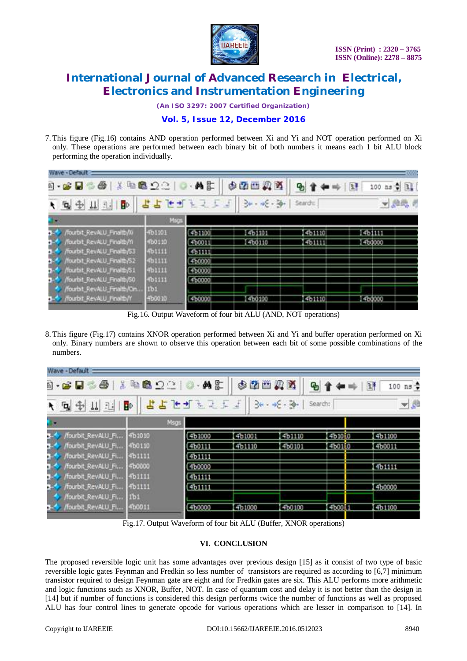

*(An ISO 3297: 2007 Certified Organization)*

### **Vol. 5, Issue 12, December 2016**

7. This figure (Fig.16) contains AND operation performed between Xi and Yi and NOT operation performed on Xi only. These operations are performed between each binary bit of both numbers it means each 1 bit ALU block performing the operation individually.

| Wave - Default                                                                                                                                                             |                                                        |                                                           |                  |                         |                  |
|----------------------------------------------------------------------------------------------------------------------------------------------------------------------------|--------------------------------------------------------|-----------------------------------------------------------|------------------|-------------------------|------------------|
| 6 - 6 U                                                                                                                                                                    | <b>XR800</b>                                           | 英郎                                                        | 中国四角             |                         | 100 ns + 11      |
| <b>B</b><br>1 电中山王                                                                                                                                                         |                                                        | 2255                                                      | $-45 - 36$       | Search:                 | ▼農場の             |
|                                                                                                                                                                            | Mags                                                   |                                                           |                  |                         |                  |
| fourbit_RevALU_Finaltb//0<br>fourbit_RevALU_Finaltb/Yi<br>fourbit_RevALU_Finaltb/53<br>fourbit_RevALU_Finaltb/S2<br>fourbit_RevALU_Finaltb/51<br>fourbit_RevALU_Finaltb/50 | fb1101<br>100110<br>61111<br>01111<br>0.1111<br>fb1111 | 401100<br>460011<br>Goriff.<br>460000<br>4b0000<br>400000 | 461101<br>460110 | 461110<br><b>CISTER</b> | 461111<br>45,000 |
| fourbit_RevALU_Finaltb/Cin<br>Nourbit_RevALU_Finaltb/Y                                                                                                                     | ło.<br>010019                                          | 41:0000                                                   | 41:0100          | 461110                  | 460000           |

Fig.16. Output Waveform of four bit ALU (AND, NOT operations)

8. This figure (Fig.17) contains XNOR operation performed between Xi and Yi and buffer operation performed on Xi only. Binary numbers are shown to observe this operation between each bit of some possible combinations of the numbers.

| Wave - Default            |         |        |        |                  |         |                        |
|---------------------------|---------|--------|--------|------------------|---------|------------------------|
| 0-6836 X 4892 0-45        |         |        | 中国西风区  | ዔ                |         | $100$ ns $\frac{4}{9}$ |
| <b>トロチ山三日</b>             | 中国语言是正式 |        |        | $36 - 46 - 56 -$ | Search: | 一起                     |
| ь.                        | Msgs    |        |        |                  |         |                        |
| /fourbit_RevALU_Fi        | 4b1010  | 4b1000 | 4b1001 | 4b1110           | 4b1010  | 4b1100                 |
| /fourbit_RevALU_Fi 4b0110 |         | 4b0111 | 4b1110 | 400101           | 4b0110  | 450011                 |
| /fourbit_RevALU_Fi 4b1111 |         | 4b1111 |        |                  |         |                        |
| /fourbit_RevALU_Fi 4b0000 |         | 400000 |        |                  |         | 451111                 |
| /fourbit_RevALU_Fi 4b1111 |         | 4b1111 |        |                  |         |                        |
| /fourbit_RevALU_Fi        | 4b1111  | 4b1111 |        |                  |         | 460000                 |
| /fourbit_RevALU_Fi 1b1    |         |        |        |                  |         |                        |
| /fourbit_RevALU_Fi        | 400011  | 4b0000 | 4b1000 | 4b0100           | 400011  | 461100                 |
|                           |         |        |        |                  |         |                        |

Fig.17. Output Waveform of four bit ALU (Buffer, XNOR operations)

#### **VI. CONCLUSION**

The proposed reversible logic unit has some advantages over previous design [15] as it consist of two type of basic reversible logic gates Feynman and Fredkin so less number of transistors are required as according to [6,7] minimum transistor required to design Feynman gate are eight and for Fredkin gates are six. This ALU performs more arithmetic and logic functions such as XNOR, Buffer, NOT. In case of quantum cost and delay it is not better than the design in [14] but if number of functions is considered this design performs twice the number of functions as well as proposed ALU has four control lines to generate opcode for various operations which are lesser in comparison to [14]. In